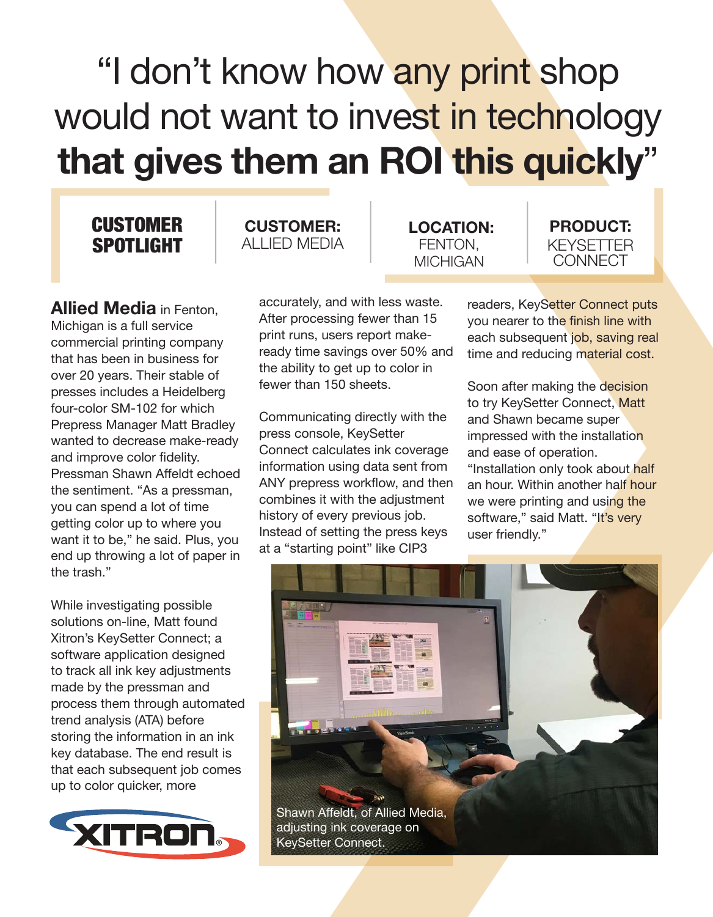## "I don't know how any print shop would not want to invest in technology **that gives them an ROI this quickly**"

## **CUSTOMER** SPOTLIGHT

ALLIED MEDIA

**CUSTOMER:**

**Allied Media** in Fenton, Michigan is a full service commercial printing company that has been in business for over 20 years. Their stable of presses includes a Heidelberg four-color SM-102 for which Prepress Manager Matt Bradley wanted to decrease make-ready and improve color fidelity. Pressman Shawn Affeldt echoed the sentiment. "As a pressman, you can spend a lot of time getting color up to where you want it to be," he said. Plus, you end up throwing a lot of paper in the trash."

While investigating possible solutions on-line, Matt found Xitron's KeySetter Connect; a software application designed to track all ink key adjustments made by the pressman and process them through automated trend analysis (ATA) before storing the information in an ink key database. The end result is that each subsequent job comes up to color quicker, more



accurately, and with less waste. After processing fewer than 15 print runs, users report makeready time savings over 50% and the ability to get up to color in fewer than 150 sheets.

Communicating directly with the press console, KeySetter Connect calculates ink coverage information using data sent from ANY prepress workflow, and then combines it with the adjustment history of every previous job. Instead of setting the press keys at a "starting point" like CIP3

**LOCATION:** FENTON, **MICHIGAN** 

**PRODUCT:** KEYSETTER **CONNECT** 

readers, KeySetter Connect puts you nearer to the finish line with each subsequent job, saving real time and reducing material cost.

Soon after making the decision to try KeySetter Connect, Matt and Shawn became super impressed with the installation and ease of operation. "Installation only took about half an hour. Within another half hour we were printing and using the software," said Matt. "It's very user friendly."